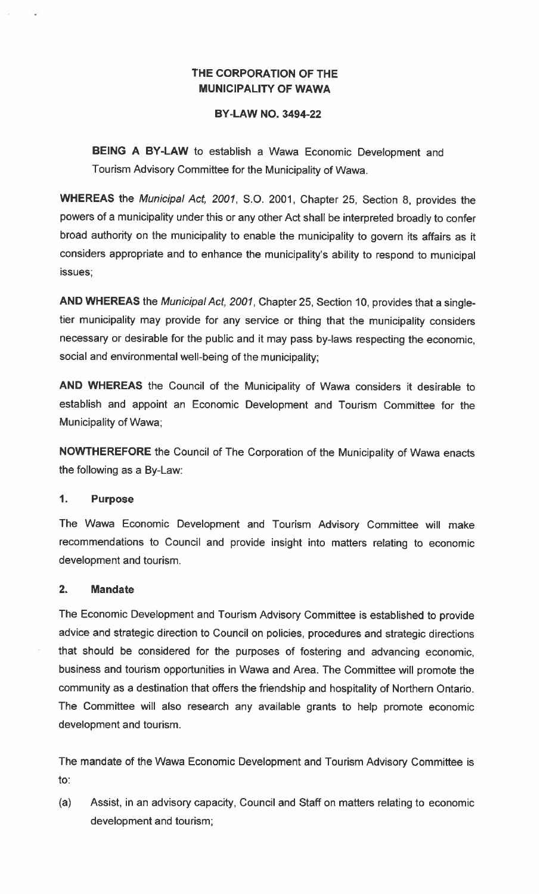# THE CORPORATION OF THE MUNICIPALITY OF WAWA

#### BY-LAW NO. 3494-22

BEING A BY-LAW to establish a Wawa Economic Development and Tourism Advisory Committee for the Municipality of Wawa.

WHEREAS the Municipal Act, 2001, S.O. 2001, Chapter 25, Section 8, provides the powers of a municipality under this or any other Act shall be interpreted broadly to confer broad authority on the municipality to enable the municipality to govern its affairs as it considers appropriate and to enhance the municipality's ability to respond to municipal issues;

AND WHEREAS the Municipal Act, 2001, Chapter 25, Section 10, provides that a singletier municipality may provide for any service or thing that the municipality considers necessary or desirable for the public and it may pass by-laws respecting the economic, social and environmental well-being of the municipality;

AND WHEREAS the Council of the Municipality of Wawa considers it desirable to establish and appoint an Economic Development and Tourism Committee for the Municipality of Wawa;

NOWTHEREFORE the Council of The Corporation of the Municipality of Wawa enacts the following as a By-Law:

#### 1. Purpose

The Wawa Economic Development and Tourism Advisory Committee will make recommendations to Council and provide insight into matters relating to economic development and tourism.

#### 2. Mandate

The Economic Development and Tourism Advisory Committee is established to provide advice and strategic direction to Council on policies, procedures and strategic directions that should be considered for the purposes of fostering and advancing economic, business and tourism opportunities in Wawa and Area. The Committee will promote the community as a destination that offers the friendship and hospitality of Northern Ontario. The Committee will also research any available grants to help promote economic development and tourism.

The mandate of the Wawa Economic Development and Tourism Advisory Committee is to:

(a) Assist, in an advisory capacity, Council and Staff on matters relating to economic development and tourism;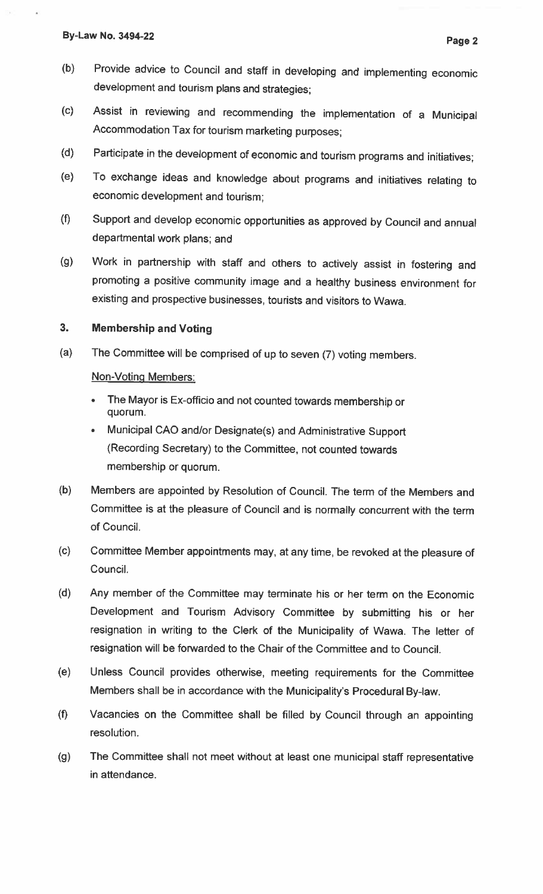- (b) Provide advice to Council and staff in developing and implementing economic development and tourism <sup>p</sup>lans and strategies;
- (c) Assist in reviewing and recommending the implementation of <sup>a</sup> Municipal Accommodation Tax for tourism marketing purposes;
- (d) Participate in the development of economic and tourism programs and initiatives;
- (e) To exchange ideas and knowledge about programs and initiatives relating to economic development and tourism;
- (f) Support and develop economic opportunities as approved by Council and annual departmental work <sup>p</sup>lans; and
- (g) Work in partnership with staff and others to actively assist in fostering and promoting <sup>a</sup> positive community image and <sup>a</sup> healthy business environment for existing and prospective businesses, tourists and visitors to Wawa.

# 3. Membership and Voting

(a) The Committee will be comprised of up to seven (7) voting members.

# Non-Voting Members:

- • The Mayor is Ex-officio and not counted towards membership or quorum.
- • Municipal CAO and/or Designate(s) and Administrative Support (Recording Secretary) to the Committee, not counted towards membership or quorum.
- (b) Members are appointed by Resolution of Council. The term of the Members and Committee is at the <sup>p</sup>leasure of Council and is normally concurrent with the term of Council.
- (c) Committee Member appointments may, at anytime, be revoked at the <sup>p</sup>leasure of Council.
- (d) Any member of the Committee may terminate his or her term on the Economic Development and Tourism Advisory Committee by submitting his or her resignation in writing to the Clerk of the Municipality of Wawa. The letter of resignation will be forwarded to the Chair of the Committee and to Council.
- (e) Unless Council provides otherwise, meeting requirements for the Committee Members shall be in accordance with the Municipality's Procedural By-law.
- (f) Vacancies on the Committee shall be filled by Council through an appointing resolution.
- (g) The Committee shall not meet without at least one municipal staff representative in attendance.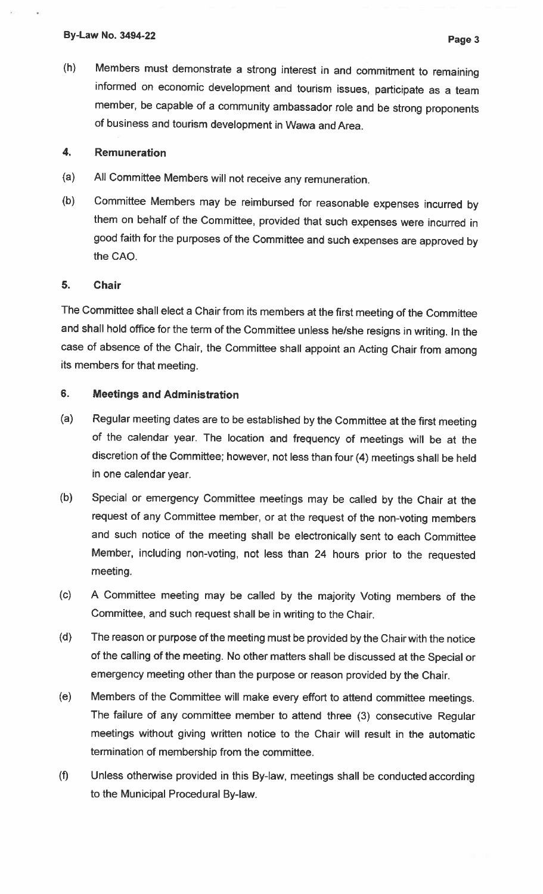(h) Members must demonstrate <sup>a</sup> strong interest in and commitment to remaining informed on economic development and tourism issues, participate as <sup>a</sup> team member, be capable of <sup>a</sup> community ambassador role and be strong proponents of business and tourism development in Wawa and Area.

#### 4. Remuneration

- (a) All Committee Members will not receive any remuneration.
- (b) Committee Members may be reimbursed for reasonable expenses incurred by them on behalf of the Committee, provided that such expenses were incurred in good faith for the purposes of the Committee and such expenses are approved by the CAO.

#### 5. Chair

The Committee shall elect <sup>a</sup> Chair from its members at the first meeting of the Committee and shall hold office for the term of the Committee unless he/she resigns in writing. In the case of absence of the Chair, the Committee shall appoint an Acting Chair from among its members for that meeting.

### 6. Meetings and Administration

- (a) Regular meeting dates are to be established by the Committee at the first meeting of the calendar year. The location and frequency of meetings will be at the discretion of the Committee; however, not less than four (4) meetings shall be held in one calendar year.
- (b) Special or emergency Committee meetings may be called by the Chair at the request of any Committee member, or at the request of the non-voting members and such notice of the meeting shall be electronically sent to each Committee Member, including non-voting, not less than <sup>24</sup> hours prior to the requested meeting.
- (c) <sup>A</sup> Committee meeting may be called by the majority Voting members of the Committee, and such request shall be in writing to the Chair.
- (d) The reason or purpose of the meeting must be provided by the Chair with the notice of the calling of the meeting. No other matters shall be discussed at the Special or emergency meeting other than the purpose or reason provided by the Chair.
- (e) Members of the Committee will make every effort to attend committee meetings. The failure of any committee member to attend three (3) consecutive Regular meetings without giving written notice to the Chair will result in the automatic termination of membership from the committee.
- (1) Unless otherwise provided in this By-law, meetings shall be conducted according to the Municipal Procedural By-law.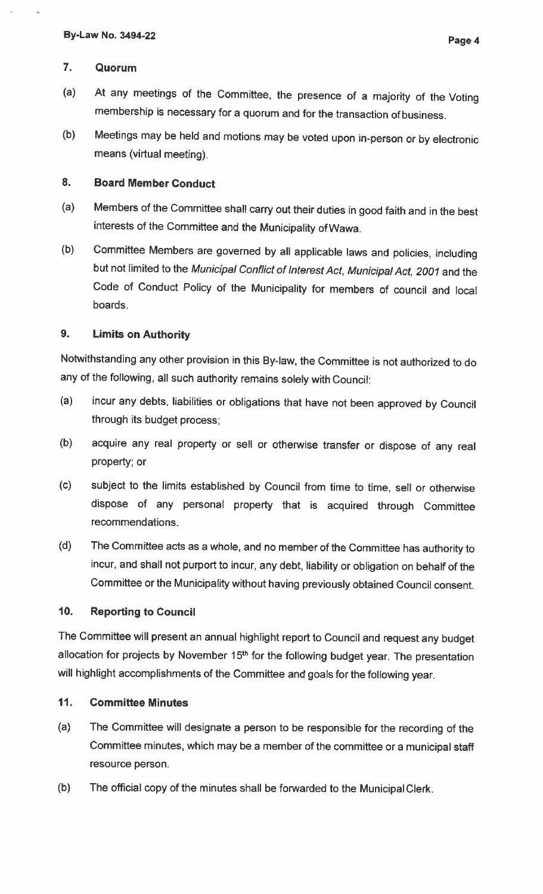### 7. Quorum

- (a) At any meetings of the Committee, the presence of <sup>a</sup> majority of the Voting membership is necessary for <sup>a</sup> quorum and for the transaction of business.
- (b) Meetings may be held and motions may be voted upon in-person or by electronic means (virtual meeting).

### 8. Board Member Conduct

- (a) Members of the Committee shall carry out their duties in good faith and in the best interests of the Committee and the Municipality of Wawa.
- (b) Committee Members are governed by all applicable laws and policies, including but not limited to the Municipal Conflict of Interest Act, Municipal Act, <sup>2001</sup> and the Code of Conduct Policy of the Municipality for members of council and local boards

### 9. Limits on Authority

Notwithstanding any other provision in this By-law, the Committee is not authorized to do any of the following, all such authority remains solely with Council:

- (a) incur any debts, liabilities or obligations that have not been approved by Council through its budget process;
- (b) acquire any real property or sell or otherwise transfer or dispose of any real property; or
- (c) subject to the limits established by Council from time to time, sell or otherwise dispose of any personal property that is acquired through Committee recommendations.
- (d) The Committee acts as <sup>a</sup> whole, and no member of the Committee has authority to incur, and shall not purport to incur, any debt, liability or obligation on behalf of the Committee or the Municipality without having previously obtained Council consent.

### 10. Reporting to Council

The Committee will present an annual highlight report to Council and request any budget allocation for projects by November 15<sup>th</sup> for the following budget year. The presentation will highlight accomplishments of the Committee and goals for the following year.

### 11. Committee Minutes

- (a) The Committee will designate <sup>a</sup> person to be responsible for the recording of the Committee minutes, which may be <sup>a</sup> member of the committee or <sup>a</sup> municipal staff resource person.
- (b) The official copy of the minutes shall be forwarded to the Municipal Clerk.